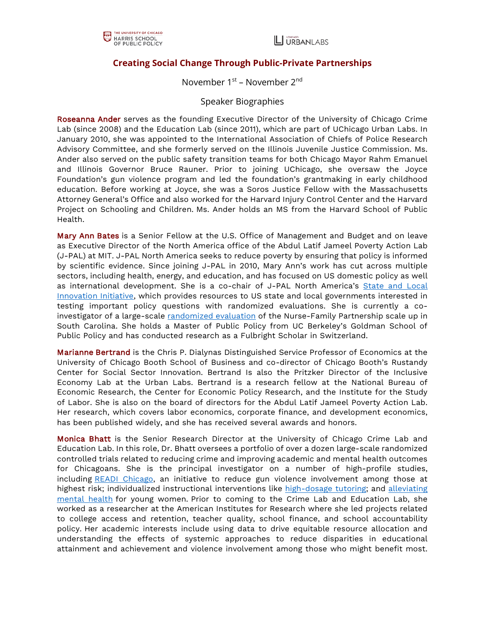## **Creating Social Change Through Public-Private Partnerships**

November 1<sup>st</sup> – November 2<sup>nd</sup>

## Speaker Biographies

Roseanna Ander serves as the founding Executive Director of the University of Chicago Crime Lab (since 2008) and the Education Lab (since 2011), which are part of UChicago Urban Labs. In January 2010, she was appointed to the International Association of Chiefs of Police Research Advisory Committee, and she formerly served on the Illinois Juvenile Justice Commission. Ms. Ander also served on the public safety transition teams for both Chicago Mayor Rahm Emanuel and Illinois Governor Bruce Rauner. Prior to joining UChicago, she oversaw the Joyce Foundation's gun violence program and led the foundation's grantmaking in early childhood education. Before working at Joyce, she was a Soros Justice Fellow with the Massachusetts Attorney General's Office and also worked for the Harvard Injury Control Center and the Harvard Project on Schooling and Children. Ms. Ander holds an MS from the Harvard School of Public Health.

Mary Ann Bates is a Senior Fellow at the U.S. Office of Management and Budget and on leave as Executive Director of the North America office of the Abdul Latif Jameel Poverty Action Lab (J-PAL) at MIT. J-PAL North America seeks to reduce poverty by ensuring that policy is informed by scientific evidence. Since joining J-PAL in 2010, Mary Ann's work has cut across multiple sectors, including health, energy, and education, and has focused on US domestic policy as well as international development. She is a co-chair of J-PAL North America's State and Local Innovation Initiative, which provides resources to US state and local governments interested in testing important policy questions with randomized evaluations. She is currently a coinvestigator of a large-scale [randomized evaluation](https://urldefense.com/v3/__https:/www.hsph.harvard.edu/sc-nfp-study/__;!!BpyFHLRN4TMTrA!ohPD4fQ2sea_Pt3FYnlDHeUOnegL4JeltB5hdVRdAdJhgFIHu0_Vp-lHOJkGLhOisQ$) of the Nurse-Family Partnership scale up in South Carolina. She holds a Master of Public Policy from UC Berkeley's Goldman School of Public Policy and has conducted research as a Fulbright Scholar in Switzerland.

Marianne Bertrand is the Chris P. Dialynas Distinguished Service Professor of Economics at the University of Chicago Booth School of Business and co-director of Chicago Booth's Rustandy Center for Social Sector Innovation. Bertrand Is also the Pritzker Director of the Inclusive Economy Lab at the Urban Labs. Bertrand is a research fellow at the National Bureau of Economic Research, the Center for Economic Policy Research, and the Institute for the Study of Labor. She is also on the board of directors for the Abdul Latif Jameel Poverty Action Lab. Her research, which covers labor economics, corporate finance, and development economics, has been published widely, and she has received several awards and honors.

Monica Bhatt is the Senior Research Director at the University of Chicago Crime Lab and Education Lab. In this role, Dr. Bhatt oversees a portfolio of over a dozen large-scale randomized controlled trials related to reducing crime and improving academic and mental health outcomes for Chicagoans. She is the principal investigator on a number of high-profile studies, including [READI Chicago,](https://urbanlabs.uchicago.edu/programs/readi) an initiative to reduce gun violence involvement among those at highest risk; individualized instructional interventions like [high-dosage tutoring;](https://urbanlabs.uchicago.edu/projects/saga-match) and [alleviating](https://urbanlabs.uchicago.edu/programs/working-on-womanhood-wow)  [mental health](https://urbanlabs.uchicago.edu/programs/working-on-womanhood-wow) for young women. Prior to coming to the Crime Lab and Education Lab, she worked as a researcher at the American Institutes for Research where she led projects related to college access and retention, teacher quality, school finance, and school accountability policy. Her academic interests include using data to drive equitable resource allocation and understanding the effects of systemic approaches to reduce disparities in educational attainment and achievement and violence involvement among those who might benefit most.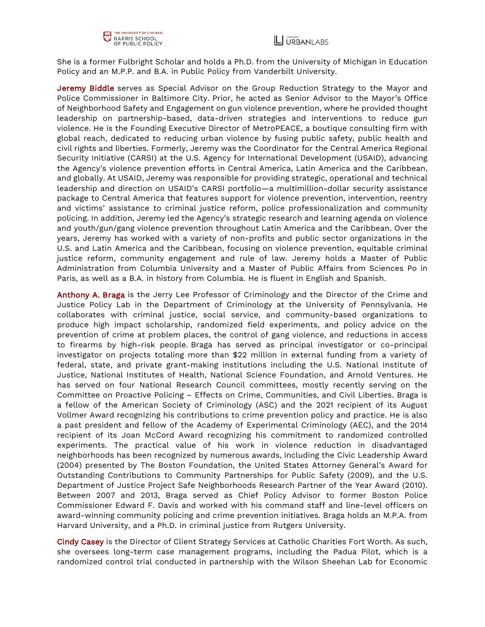

She is a former Fulbright Scholar and holds a Ph.D. from the University of Michigan in Education Policy and an M.P.P. and B.A. in Public Policy from Vanderbilt University.

Jeremy Biddle serves as Special Advisor on the Group Reduction Strategy to the Mayor and Police Commissioner in Baltimore City. Prior, he acted as Senior Advisor to the Mayor's Office of Neighborhood Safety and Engagement on gun violence prevention, where he provided thought leadership on partnership-based, data-driven strategies and interventions to reduce gun violence. He is the Founding Executive Director of MetroPEACE, a boutique consulting firm with global reach, dedicated to reducing urban violence by fusing public safety, public health and civil rights and liberties. Formerly, Jeremy was the Coordinator for the Central America Regional Security Initiative (CARSI) at the U.S. Agency for International Development (USAID), advancing the Agency's violence prevention efforts in Central America, Latin America and the Caribbean, and globally. At USAID, Jeremy was responsible for providing strategic, operational and technical leadership and direction on USAID's CARSI portfolio—a multimillion-dollar security assistance package to Central America that features support for violence prevention, intervention, reentry and victims' assistance to criminal justice reform, police professionalization and community policing. In addition, Jeremy led the Agency's strategic research and learning agenda on violence and youth/gun/gang violence prevention throughout Latin America and the Caribbean. Over the years, Jeremy has worked with a variety of non-profits and public sector organizations in the U.S. and Latin America and the Caribbean, focusing on violence prevention, equitable criminal justice reform, community engagement and rule of law. Jeremy holds a Master of Public Administration from Columbia University and a Master of Public Affairs from Sciences Po in Paris, as well as a B.A. in history from Columbia. He is fluent in English and Spanish.

Anthony A. Braga is the Jerry Lee Professor of Criminology and the Director of the Crime and Justice Policy Lab in the Department of Criminology at the University of Pennsylvania. He collaborates with criminal justice, social service, and community-based organizations to produce high impact scholarship, randomized field experiments, and policy advice on the prevention of crime at problem places, the control of gang violence, and reductions in access to firearms by high-risk people. Braga has served as principal investigator or co-principal investigator on projects totaling more than \$22 million in external funding from a variety of federal, state, and private grant-making institutions including the U.S. National Institute of Justice, National Institutes of Health, National Science Foundation, and Arnold Ventures. He has served on four National Research Council committees, mostly recently serving on the Committee on Proactive Policing – Effects on Crime, Communities, and Civil Liberties. Braga is a fellow of the American Society of Criminology (ASC) and the 2021 recipient of its August Vollmer Award recognizing his contributions to crime prevention policy and practice. He is also a past president and fellow of the Academy of Experimental Criminology (AEC), and the 2014 recipient of its Joan McCord Award recognizing his commitment to randomized controlled experiments. The practical value of his work in violence reduction in disadvantaged neighborhoods has been recognized by numerous awards, including the Civic Leadership Award (2004) presented by The Boston Foundation, the United States Attorney General's Award for Outstanding Contributions to Community Partnerships for Public Safety (2009), and the U.S. Department of Justice Project Safe Neighborhoods Research Partner of the Year Award (2010). Between 2007 and 2013, Braga served as Chief Policy Advisor to former Boston Police Commissioner Edward F. Davis and worked with his command staff and line-level officers on award-winning community policing and crime prevention initiatives. Braga holds an M.P.A. from Harvard University, and a Ph.D. in criminal justice from Rutgers University.

Cindy Casey is the Director of Client Strategy Services at Catholic Charities Fort Worth. As such, she oversees long-term case management programs, including the Padua Pilot, which is a randomized control trial conducted in partnership with the Wilson Sheehan Lab for Economic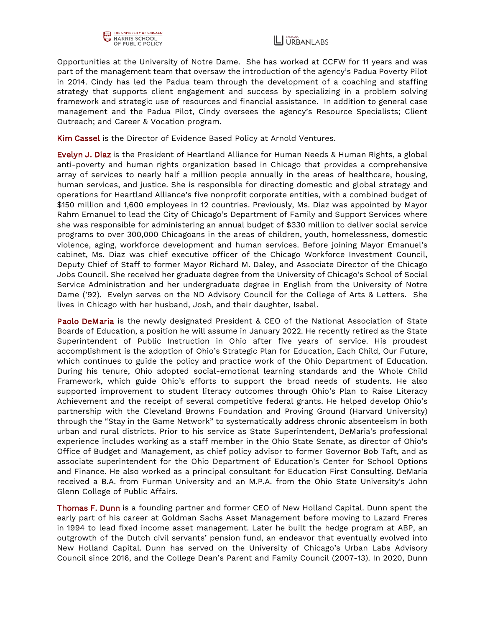



Opportunities at the University of Notre Dame. She has worked at CCFW for 11 years and was part of the management team that oversaw the introduction of the agency's Padua Poverty Pilot in 2014. Cindy has led the Padua team through the development of a coaching and staffing strategy that supports client engagement and success by specializing in a problem solving framework and strategic use of resources and financial assistance. In addition to general case management and the Padua Pilot, Cindy oversees the agency's Resource Specialists; Client Outreach; and Career & Vocation program.

Kim Cassel is the Director of Evidence Based Policy at Arnold Ventures.

Evelyn J. Diaz is the President of Heartland Alliance for Human Needs & Human Rights, a global anti-poverty and human rights organization based in Chicago that provides a comprehensive array of services to nearly half a million people annually in the areas of healthcare, housing, human services, and justice. She is responsible for directing domestic and global strategy and operations for Heartland Alliance's five nonprofit corporate entities, with a combined budget of \$150 million and 1,600 employees in 12 countries. Previously, Ms. Diaz was appointed by Mayor Rahm Emanuel to lead the City of Chicago's Department of Family and Support Services where she was responsible for administering an annual budget of \$330 million to deliver social service programs to over 300,000 Chicagoans in the areas of children, youth, homelessness, domestic violence, aging, workforce development and human services. Before joining Mayor Emanuel's cabinet, Ms. Diaz was chief executive officer of the Chicago Workforce Investment Council, Deputy Chief of Staff to former Mayor Richard M. Daley, and Associate Director of the Chicago Jobs Council. She received her graduate degree from the University of Chicago's School of Social Service Administration and her undergraduate degree in English from the University of Notre Dame ('92). Evelyn serves on the ND Advisory Council for the College of Arts & Letters. She lives in Chicago with her husband, Josh, and their daughter, Isabel.

Paolo DeMaria is the newly designated President & CEO of the National Association of State Boards of Education, a position he will assume in January 2022. He recently retired as the State Superintendent of Public Instruction in Ohio after five years of service. His proudest accomplishment is the adoption of Ohio's Strategic Plan for Education, Each Child, Our Future, which continues to guide the policy and practice work of the Ohio Department of Education. During his tenure, Ohio adopted social-emotional learning standards and the Whole Child Framework, which guide Ohio's efforts to support the broad needs of students. He also supported improvement to student literacy outcomes through Ohio's Plan to Raise Literacy Achievement and the receipt of several competitive federal grants. He helped develop Ohio's partnership with the Cleveland Browns Foundation and Proving Ground (Harvard University) through the "Stay in the Game Network" to systematically address chronic absenteeism in both urban and rural districts. Prior to his service as State Superintendent, DeMaria's professional experience includes working as a staff member in the Ohio State Senate, as director of Ohio's Office of Budget and Management, as chief policy advisor to former Governor Bob Taft, and as associate superintendent for the Ohio Department of Education's Center for School Options and Finance. He also worked as a principal consultant for Education First Consulting. DeMaria received a B.A. from Furman University and an M.P.A. from the Ohio State University's John Glenn College of Public Affairs.

Thomas F. Dunn is a founding partner and former CEO of New Holland Capital. Dunn spent the early part of his career at Goldman Sachs Asset Management before moving to Lazard Freres in 1994 to lead fixed income asset management. Later he built the hedge program at ABP, an outgrowth of the Dutch civil servants' pension fund, an endeavor that eventually evolved into New Holland Capital. Dunn has served on the University of Chicago's Urban Labs Advisory Council since 2016, and the College Dean's Parent and Family Council (2007-13). In 2020, Dunn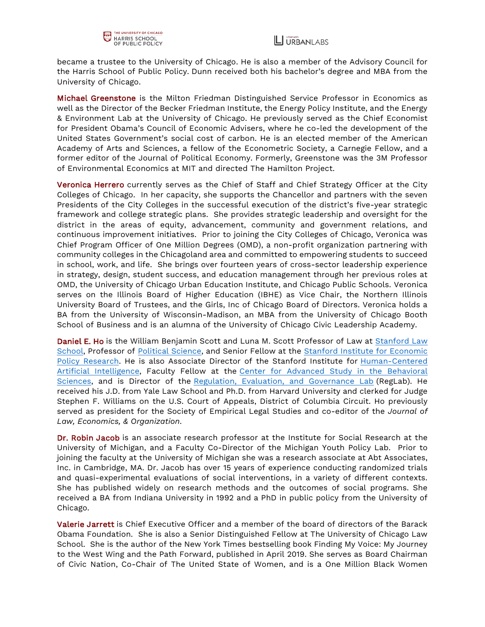became a trustee to the University of Chicago. He is also a member of the Advisory Council for the Harris School of Public Policy. Dunn received both his bachelor's degree and MBA from the University of Chicago.

Michael Greenstone is the Milton Friedman Distinguished Service Professor in Economics as well as the Director of the Becker Friedman Institute, the Energy Policy Institute, and the Energy & Environment Lab at the University of Chicago. He previously served as the Chief Economist for President Obama's Council of Economic Advisers, where he co-led the development of the United States Government's social cost of carbon. He is an elected member of the American Academy of Arts and Sciences, a fellow of the Econometric Society, a Carnegie Fellow, and a former editor of the Journal of Political Economy. Formerly, Greenstone was the 3M Professor of Environmental Economics at MIT and directed The Hamilton Project.

Veronica Herrero currently serves as the Chief of Staff and Chief Strategy Officer at the City Colleges of Chicago. In her capacity, she supports the Chancellor and partners with the seven Presidents of the City Colleges in the successful execution of the district's five-year strategic framework and college strategic plans. She provides strategic leadership and oversight for the district in the areas of equity, advancement, community and government relations, and continuous improvement initiatives. Prior to joining the City Colleges of Chicago, Veronica was Chief Program Officer of One Million Degrees (OMD), a non-profit organization partnering with community colleges in the Chicagoland area and committed to empowering students to succeed in school, work, and life. She brings over fourteen years of cross-sector leadership experience in strategy, design, student success, and education management through her previous roles at OMD, the University of Chicago Urban Education Institute, and Chicago Public Schools. Veronica serves on the Illinois Board of Higher Education (IBHE) as Vice Chair, the Northern Illinois University Board of Trustees, and the Girls, Inc of Chicago Board of Directors. Veronica holds a BA from the University of Wisconsin-Madison, an MBA from the University of Chicago Booth School of Business and is an alumna of the University of Chicago Civic Leadership Academy.

Daniel E. Ho is the William Benjamin Scott and Luna M. Scott Professor of Law at Stanford Law [School,](https://law.stanford.edu/) Professor of [Political Science,](https://politicalscience.stanford.edu/) and Senior Fellow at the [Stanford Institute for Economic](https://siepr.stanford.edu/)  [Policy Research.](https://siepr.stanford.edu/) He is also Associate Director of the Stanford Institute for [Human-Centered](https://hai.stanford.edu/)  [Artificial Intelligence,](https://hai.stanford.edu/) Faculty Fellow at the [Center for Advanced Study in the Behavioral](https://casbs.stanford.edu/)  [Sciences,](https://casbs.stanford.edu/) and is Director of the [Regulation, Evaluation, and Governance Lab](https://reglab.stanford.edu/) (RegLab). He received his J.D. from Yale Law School and Ph.D. from Harvard University and clerked for Judge Stephen F. Williams on the U.S. Court of Appeals, District of Columbia Circuit. Ho previously served as president for the Society of Empirical Legal Studies and co-editor of the *Journal of Law, Economics, & Organization*.

Dr. Robin Jacob is an associate research professor at the Institute for Social Research at the University of Michigan, and a Faculty Co-Director of the Michigan Youth Policy Lab. Prior to joining the faculty at the University of Michigan she was a research associate at Abt Associates, Inc. in Cambridge, MA. Dr. Jacob has over 15 years of experience conducting randomized trials and quasi-experimental evaluations of social interventions, in a variety of different contexts. She has published widely on research methods and the outcomes of social programs. She received a BA from Indiana University in 1992 and a PhD in public policy from the University of Chicago.

Valerie Jarrett is Chief Executive Officer and a member of the board of directors of the Barack Obama Foundation. She is also a Senior Distinguished Fellow at The University of Chicago Law School. She is the author of the New York Times bestselling book Finding My Voice: My Journey to the West Wing and the Path Forward, published in April 2019. She serves as Board Chairman of Civic Nation, Co-Chair of The United State of Women, and is a One Million Black Women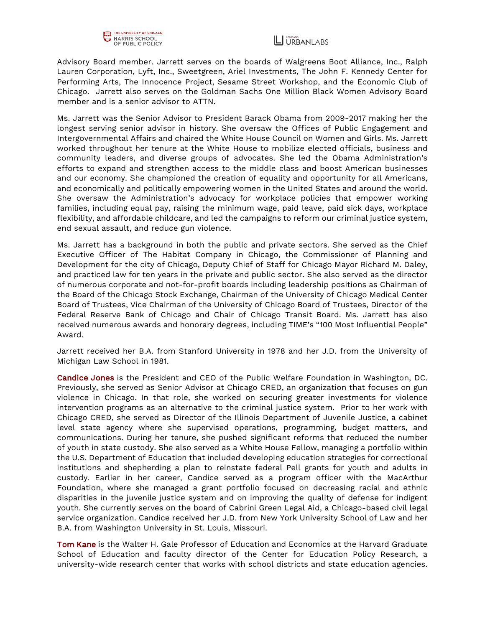

Advisory Board member. Jarrett serves on the boards of Walgreens Boot Alliance, Inc., Ralph Lauren Corporation, Lyft, Inc., Sweetgreen, Ariel Investments, The John F. Kennedy Center for Performing Arts, The Innocence Project, Sesame Street Workshop, and the Economic Club of Chicago. Jarrett also serves on the Goldman Sachs One Million Black Women Advisory Board member and is a senior advisor to ATTN.

Ms. Jarrett was the Senior Advisor to President Barack Obama from 2009-2017 making her the longest serving senior advisor in history. She oversaw the Offices of Public Engagement and Intergovernmental Affairs and chaired the White House Council on Women and Girls. Ms. Jarrett worked throughout her tenure at the White House to mobilize elected officials, business and community leaders, and diverse groups of advocates. She led the Obama Administration's efforts to expand and strengthen access to the middle class and boost American businesses and our economy. She championed the creation of equality and opportunity for all Americans, and economically and politically empowering women in the United States and around the world. She oversaw the Administration's advocacy for workplace policies that empower working families, including equal pay, raising the minimum wage, paid leave, paid sick days, workplace flexibility, and affordable childcare, and led the campaigns to reform our criminal justice system, end sexual assault, and reduce gun violence.

Ms. Jarrett has a background in both the public and private sectors. She served as the Chief Executive Officer of The Habitat Company in Chicago, the Commissioner of Planning and Development for the city of Chicago, Deputy Chief of Staff for Chicago Mayor Richard M. Daley, and practiced law for ten years in the private and public sector. She also served as the director of numerous corporate and not-for-profit boards including leadership positions as Chairman of the Board of the Chicago Stock Exchange, Chairman of the University of Chicago Medical Center Board of Trustees, Vice Chairman of the University of Chicago Board of Trustees, Director of the Federal Reserve Bank of Chicago and Chair of Chicago Transit Board. Ms. Jarrett has also received numerous awards and honorary degrees, including TIME's "100 Most Influential People" Award.

Jarrett received her B.A. from Stanford University in 1978 and her J.D. from the University of Michigan Law School in 1981.

Candice Jones is the President and CEO of the Public Welfare Foundation in Washington, DC. Previously, she served as Senior Advisor at Chicago CRED, an organization that focuses on gun violence in Chicago. In that role, she worked on securing greater investments for violence intervention programs as an alternative to the criminal justice system. Prior to her work with Chicago CRED, she served as Director of the Illinois Department of Juvenile Justice, a cabinet level state agency where she supervised operations, programming, budget matters, and communications. During her tenure, she pushed significant reforms that reduced the number of youth in state custody. She also served as a White House Fellow, managing a portfolio within the U.S. Department of Education that included developing education strategies for correctional institutions and shepherding a plan to reinstate federal Pell grants for youth and adults in custody. Earlier in her career, Candice served as a program officer with the MacArthur Foundation, where she managed a grant portfolio focused on decreasing racial and ethnic disparities in the juvenile justice system and on improving the quality of defense for indigent youth. She currently serves on the board of Cabrini Green Legal Aid, a Chicago-based civil legal service organization. Candice received her J.D. from New York University School of Law and her B.A. from Washington University in St. Louis, Missouri.

Tom Kane is the Walter H. Gale Professor of Education and Economics at the Harvard Graduate School of Education and faculty director of the Center for Education Policy Research, a university-wide research center that works with school districts and state education agencies.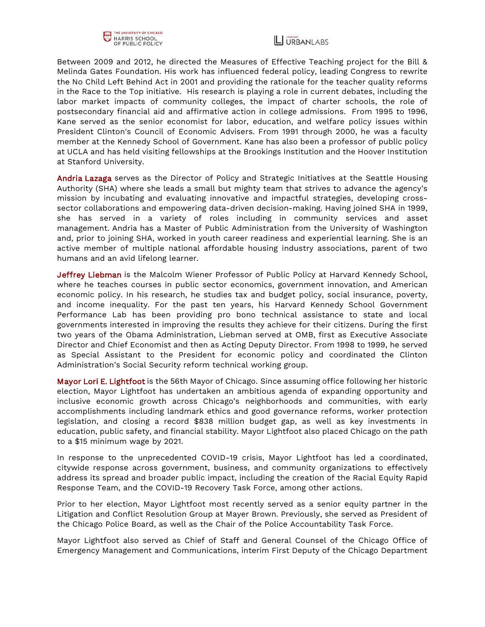



Between 2009 and 2012, he directed the Measures of Effective Teaching project for the Bill & Melinda Gates Foundation. His work has influenced federal policy, leading Congress to rewrite the No Child Left Behind Act in 2001 and providing the rationale for the teacher quality reforms in the Race to the Top initiative. His research is playing a role in current debates, including the labor market impacts of community colleges, the impact of charter schools, the role of postsecondary financial aid and affirmative action in college admissions. From 1995 to 1996, Kane served as the senior economist for labor, education, and welfare policy issues within President Clinton's Council of Economic Advisers. From 1991 through 2000, he was a faculty member at the Kennedy School of Government. Kane has also been a professor of public policy at UCLA and has held visiting fellowships at the Brookings Institution and the Hoover Institution at Stanford University.

Andria Lazaga serves as the Director of Policy and Strategic Initiatives at the Seattle Housing Authority (SHA) where she leads a small but mighty team that strives to advance the agency's mission by incubating and evaluating innovative and impactful strategies, developing crosssector collaborations and empowering data-driven decision-making. Having joined SHA in 1999, she has served in a variety of roles including in community services and asset management. Andria has a Master of Public Administration from the University of Washington and, prior to joining SHA, worked in youth career readiness and experiential learning. She is an active member of multiple national affordable housing industry associations, parent of two humans and an avid lifelong learner.

Jeffrey Liebman is the Malcolm Wiener Professor of Public Policy at Harvard Kennedy School, where he teaches courses in public sector economics, government innovation, and American economic policy. In his research, he studies tax and budget policy, social insurance, poverty, and income inequality. For the past ten years, his Harvard Kennedy School Government Performance Lab has been providing pro bono technical assistance to state and local governments interested in improving the results they achieve for their citizens. During the first two years of the Obama Administration, Liebman served at OMB, first as Executive Associate Director and Chief Economist and then as Acting Deputy Director. From 1998 to 1999, he served as Special Assistant to the President for economic policy and coordinated the Clinton Administration's Social Security reform technical working group.

Mayor Lori E. Lightfoot is the 56th Mayor of Chicago. Since assuming office following her historic election, Mayor Lightfoot has undertaken an ambitious agenda of expanding opportunity and inclusive economic growth across Chicago's neighborhoods and communities, with early accomplishments including landmark ethics and good governance reforms, worker protection legislation, and closing a record \$838 million budget gap, as well as key investments in education, public safety, and financial stability. Mayor Lightfoot also placed Chicago on the path to a \$15 minimum wage by 2021.

In response to the unprecedented COVID-19 crisis, Mayor Lightfoot has led a coordinated, citywide response across government, business, and community organizations to effectively address its spread and broader public impact, including the creation of the Racial Equity Rapid Response Team, and the COVID-19 Recovery Task Force, among other actions.

Prior to her election, Mayor Lightfoot most recently served as a senior equity partner in the Litigation and Conflict Resolution Group at Mayer Brown. Previously, she served as President of the Chicago Police Board, as well as the Chair of the Police Accountability Task Force.

Mayor Lightfoot also served as Chief of Staff and General Counsel of the Chicago Office of Emergency Management and Communications, interim First Deputy of the Chicago Department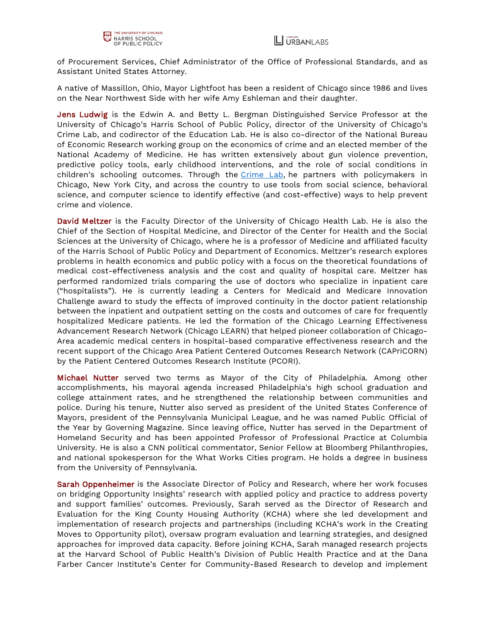of Procurement Services, Chief Administrator of the Office of Professional Standards, and as Assistant United States Attorney.

A native of Massillon, Ohio, Mayor Lightfoot has been a resident of Chicago since 1986 and lives on the Near Northwest Side with her wife Amy Eshleman and their daughter.

Jens Ludwig is the Edwin A. and Betty L. Bergman Distinguished Service Professor at the University of Chicago's Harris School of Public Policy, director of the University of Chicago's Crime Lab, and codirector of the Education Lab. He is also co-director of the National Bureau of Economic Research working group on the economics of crime and an elected member of the National Academy of Medicine. He has written extensively about gun violence prevention, predictive policy tools, early childhood interventions, and the role of social conditions in children's schooling outcomes. Through the [Crime Lab,](http://urbanlabs.uchicago.edu/labs/crime) he partners with policymakers in Chicago, New York City, and across the country to use tools from social science, behavioral science, and computer science to identify effective (and cost-effective) ways to help prevent crime and violence.

David Meltzer is the Faculty Director of the University of Chicago Health Lab. He is also the Chief of the Section of Hospital Medicine, and Director of the Center for Health and the Social Sciences at the University of Chicago, where he is a professor of Medicine and affiliated faculty of the Harris School of Public Policy and Department of Economics. Meltzer's research explores problems in health economics and public policy with a focus on the theoretical foundations of medical cost-effectiveness analysis and the cost and quality of hospital care. Meltzer has performed randomized trials comparing the use of doctors who specialize in inpatient care ("hospitalists"). He is currently leading a Centers for Medicaid and Medicare Innovation Challenge award to study the effects of improved continuity in the doctor patient relationship between the inpatient and outpatient setting on the costs and outcomes of care for frequently hospitalized Medicare patients. He led the formation of the Chicago Learning Effectiveness Advancement Research Network (Chicago LEARN) that helped pioneer collaboration of Chicago-Area academic medical centers in hospital-based comparative effectiveness research and the recent support of the Chicago Area Patient Centered Outcomes Research Network (CAPriCORN) by the Patient Centered Outcomes Research Institute (PCORI).

Michael Nutter served two terms as Mayor of the City of Philadelphia. Among other accomplishments, his mayoral agenda increased Philadelphia's high school graduation and college attainment rates, and he strengthened the relationship between communities and police. During his tenure, Nutter also served as president of the United States Conference of Mayors, president of the Pennsylvania Municipal League, and he was named Public Official of the Year by Governing Magazine. Since leaving office, Nutter has served in the Department of Homeland Security and has been appointed Professor of Professional Practice at Columbia University. He is also a CNN political commentator, Senior Fellow at Bloomberg Philanthropies, and national spokesperson for the What Works Cities program. He holds a degree in business from the University of Pennsylvania.

Sarah Oppenheimer is the Associate Director of Policy and Research, where her work focuses on bridging Opportunity Insights' research with applied policy and practice to address poverty and support families' outcomes. Previously, Sarah served as the Director of Research and Evaluation for the King County Housing Authority (KCHA) where she led development and implementation of research projects and partnerships (including KCHA's work in the Creating Moves to Opportunity pilot), oversaw program evaluation and learning strategies, and designed approaches for improved data capacity. Before joining KCHA, Sarah managed research projects at the Harvard School of Public Health's Division of Public Health Practice and at the Dana Farber Cancer Institute's Center for Community-Based Research to develop and implement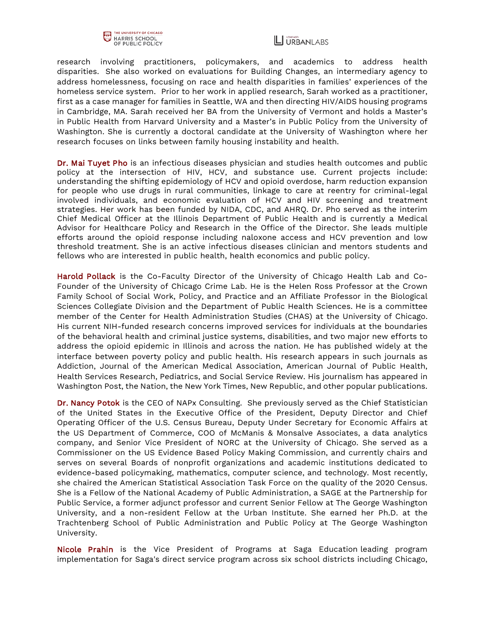

research involving practitioners, policymakers, and academics to address health disparities. She also worked on evaluations for Building Changes, an intermediary agency to address homelessness, focusing on race and health disparities in families' experiences of the homeless service system. Prior to her work in applied research, Sarah worked as a practitioner, first as a case manager for families in Seattle, WA and then directing HIV/AIDS housing programs in Cambridge, MA. Sarah received her BA from the University of Vermont and holds a Master's in Public Health from Harvard University and a Master's in Public Policy from the University of Washington. She is currently a doctoral candidate at the University of Washington where her research focuses on links between family housing instability and health.

Dr. Mai Tuyet Pho is an infectious diseases physician and studies health outcomes and public policy at the intersection of HIV, HCV, and substance use. Current projects include: understanding the shifting epidemiology of HCV and opioid overdose, harm reduction expansion for people who use drugs in rural communities, linkage to care at reentry for criminal-legal involved individuals, and economic evaluation of HCV and HIV screening and treatment strategies. Her work has been funded by NIDA, CDC, and AHRQ. Dr. Pho served as the interim Chief Medical Officer at the Illinois Department of Public Health and is currently a Medical Advisor for Healthcare Policy and Research in the Office of the Director. She leads multiple efforts around the opioid response including naloxone access and HCV prevention and low threshold treatment. She is an active infectious diseases clinician and mentors students and fellows who are interested in public health, health economics and public policy.

Harold Pollack is the Co-Faculty Director of the University of Chicago Health Lab and Co-Founder of the University of Chicago Crime Lab. He is the Helen Ross Professor at the Crown Family School of Social Work, Policy, and Practice and an Affiliate Professor in the Biological Sciences Collegiate Division and the Department of Public Health Sciences. He is a committee member of the Center for Health Administration Studies (CHAS) at the University of Chicago. His current NIH-funded research concerns improved services for individuals at the boundaries of the behavioral health and criminal justice systems, disabilities, and two major new efforts to address the opioid epidemic in Illinois and across the nation. He has published widely at the interface between poverty policy and public health. His research appears in such journals as Addiction, Journal of the American Medical Association, American Journal of Public Health, Health Services Research, Pediatrics, and Social Service Review. His journalism has appeared in Washington Post, the Nation, the New York Times, New Republic, and other popular publications.

Dr. Nancy Potok is the CEO of NAPx Consulting. She previously served as the Chief Statistician of the United States in the Executive Office of the President, Deputy Director and Chief Operating Officer of the U.S. Census Bureau, Deputy Under Secretary for Economic Affairs at the US Department of Commerce, COO of McManis & Monsalve Associates, a data analytics company, and Senior Vice President of NORC at the University of Chicago. She served as a Commissioner on the US Evidence Based Policy Making Commission, and currently chairs and serves on several Boards of nonprofit organizations and academic institutions dedicated to evidence-based policymaking, mathematics, computer science, and technology. Most recently, she chaired the American Statistical Association Task Force on the quality of the 2020 Census. She is a Fellow of the National Academy of Public Administration, a SAGE at the Partnership for Public Service, a former adjunct professor and current Senior Fellow at The George Washington University, and a non-resident Fellow at the Urban Institute. She earned her Ph.D. at the Trachtenberg School of Public Administration and Public Policy at The George Washington University.

Nicole Prahin is the Vice President of Programs at Saga Education leading program implementation for Saga's direct service program across six school districts including Chicago,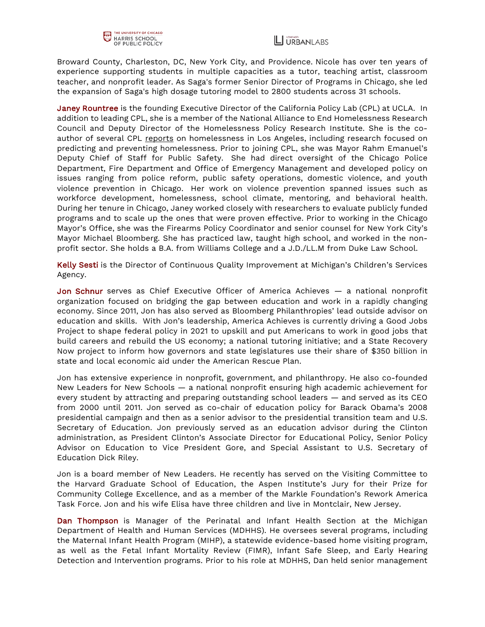

Broward County, Charleston, DC, New York City, and Providence. Nicole has over ten years of experience supporting students in multiple capacities as a tutor, teaching artist, classroom teacher, and nonprofit leader. As Saga's former Senior Director of Programs in Chicago, she led the expansion of Saga's high dosage tutoring model to 2800 students across 31 schools.

Janey Rountree is the founding Executive Director of the California Policy Lab (CPL) at UCLA. In addition to leading CPL, she is a member of the National Alliance to End Homelessness Research Council and Deputy Director of the Homelessness Policy Research Institute. She is the coauthor of several CPL [reports](https://www.capolicylab.org/author/janey-rountree/) on homelessness in Los Angeles, including research focused on predicting and preventing homelessness. Prior to joining CPL, she was Mayor Rahm Emanuel's Deputy Chief of Staff for Public Safety. She had direct oversight of the Chicago Police Department, Fire Department and Office of Emergency Management and developed policy on issues ranging from police reform, public safety operations, domestic violence, and youth violence prevention in Chicago. Her work on violence prevention spanned issues such as workforce development, homelessness, school climate, mentoring, and behavioral health. During her tenure in Chicago, Janey worked closely with researchers to evaluate publicly funded programs and to scale up the ones that were proven effective. Prior to working in the Chicago Mayor's Office, she was the Firearms Policy Coordinator and senior counsel for New York City's Mayor Michael Bloomberg. She has practiced law, taught high school, and worked in the nonprofit sector. She holds a B.A. from Williams College and a J.D./LL.M from Duke Law School.

Kelly Sesti is the Director of Continuous Quality Improvement at Michigan's Children's Services Agency.

Jon Schnur serves as Chief Executive Officer of America Achieves - a national nonprofit organization focused on bridging the gap between education and work in a rapidly changing economy. Since 2011, Jon has also served as Bloomberg Philanthropies' lead outside advisor on education and skills. With Jon's leadership, America Achieves is currently driving a Good Jobs Project to shape federal policy in 2021 to upskill and put Americans to work in good jobs that build careers and rebuild the US economy; a national tutoring initiative; and a State Recovery Now project to inform how governors and state legislatures use their share of \$350 billion in state and local economic aid under the American Rescue Plan.

Jon has extensive experience in nonprofit, government, and philanthropy. He also co-founded New Leaders for New Schools — a national nonprofit ensuring high academic achievement for every student by attracting and preparing outstanding school leaders — and served as its CEO from 2000 until 2011. Jon served as co-chair of education policy for Barack Obama's 2008 presidential campaign and then as a senior advisor to the presidential transition team and U.S. Secretary of Education. Jon previously served as an education advisor during the Clinton administration, as President Clinton's Associate Director for Educational Policy, Senior Policy Advisor on Education to Vice President Gore, and Special Assistant to U.S. Secretary of Education Dick Riley.

Jon is a board member of New Leaders. He recently has served on the Visiting Committee to the Harvard Graduate School of Education, the Aspen Institute's Jury for their Prize for Community College Excellence, and as a member of the Markle Foundation's Rework America Task Force. Jon and his wife Elisa have three children and live in Montclair, New Jersey.

Dan Thompson is Manager of the Perinatal and Infant Health Section at the Michigan Department of Health and Human Services (MDHHS). He oversees several programs, including the Maternal Infant Health Program (MIHP), a statewide evidence-based home visiting program, as well as the Fetal Infant Mortality Review (FIMR), Infant Safe Sleep, and Early Hearing Detection and Intervention programs. Prior to his role at MDHHS, Dan held senior management